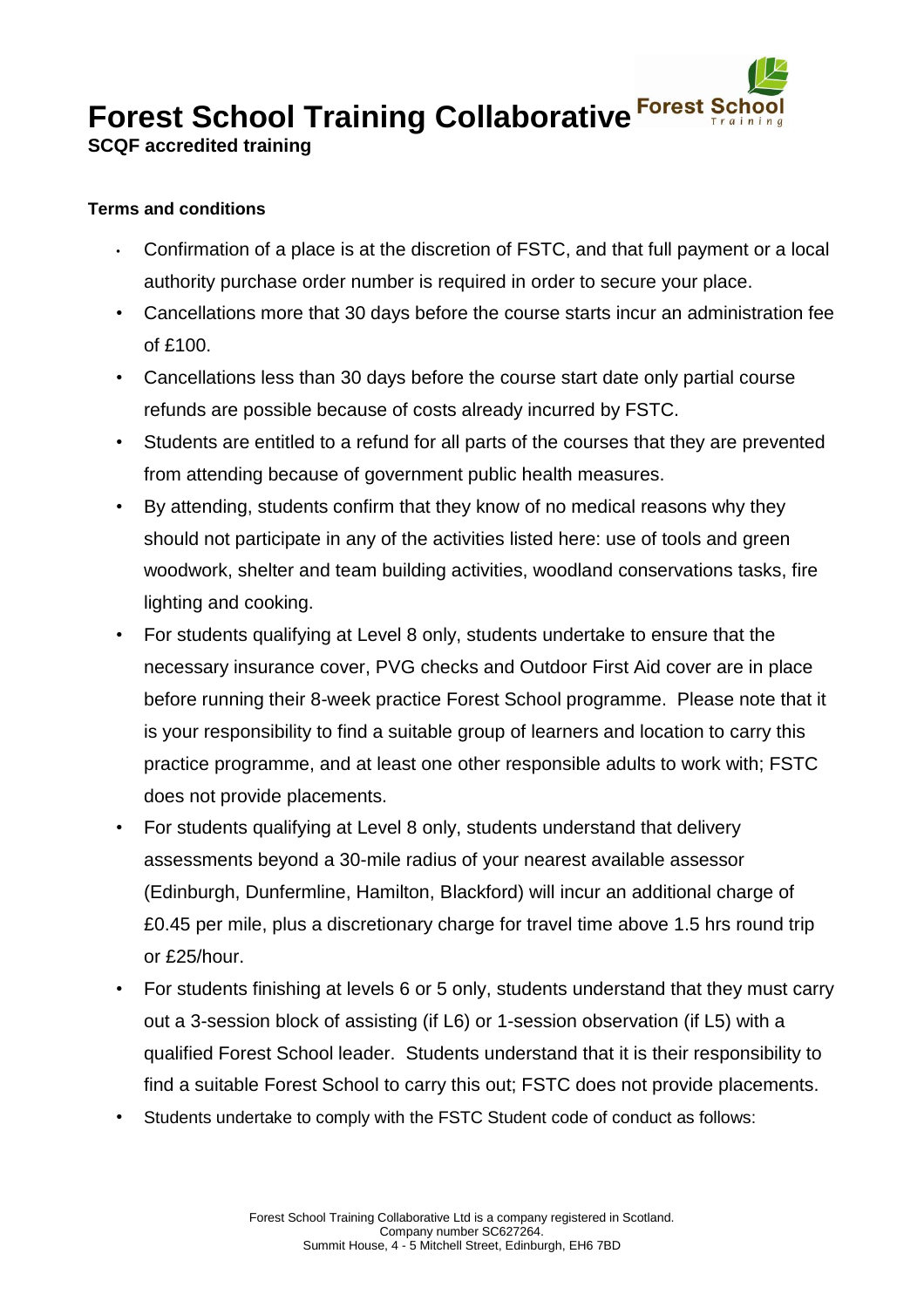**Forest School Training Collaborative Forest School** 

**SCQF accredited training** 

## **Terms and conditions**

- Confirmation of a place is at the discretion of FSTC, and that full payment or a local authority purchase order number is required in order to secure your place.
- Cancellations more that 30 days before the course starts incur an administration fee of £100.
- Cancellations less than 30 days before the course start date only partial course refunds are possible because of costs already incurred by FSTC.
- Students are entitled to a refund for all parts of the courses that they are prevented from attending because of government public health measures.
- By attending, students confirm that they know of no medical reasons why they should not participate in any of the activities listed here: use of tools and green woodwork, shelter and team building activities, woodland conservations tasks, fire lighting and cooking.
- For students qualifying at Level 8 only, students undertake to ensure that the necessary insurance cover, PVG checks and Outdoor First Aid cover are in place before running their 8-week practice Forest School programme. Please note that it is your responsibility to find a suitable group of learners and location to carry this practice programme, and at least one other responsible adults to work with; FSTC does not provide placements.
- For students qualifying at Level 8 only, students understand that delivery assessments beyond a 30-mile radius of your nearest available assessor (Edinburgh, Dunfermline, Hamilton, Blackford) will incur an additional charge of £0.45 per mile, plus a discretionary charge for travel time above 1.5 hrs round trip or £25/hour.
- For students finishing at levels 6 or 5 only, students understand that they must carry out a 3-session block of assisting (if L6) or 1-session observation (if L5) with a qualified Forest School leader. Students understand that it is their responsibility to find a suitable Forest School to carry this out; FSTC does not provide placements.
- Students undertake to comply with the FSTC Student code of conduct as follows: